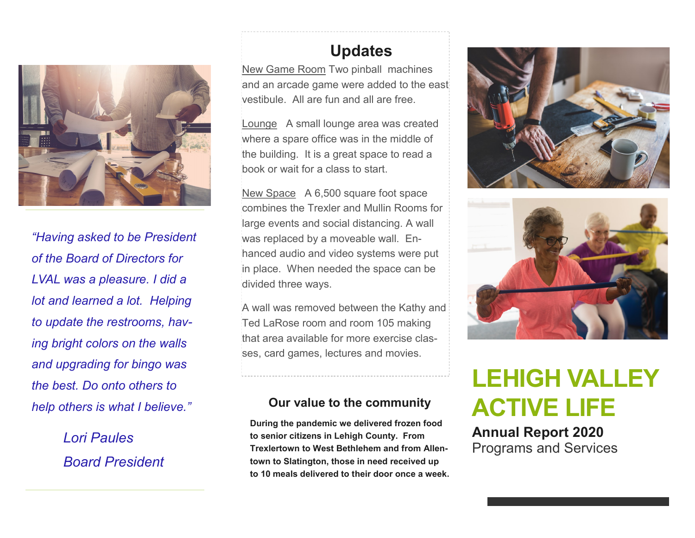

*"Having asked to be President of the Board of Directors for LVAL was a pleasure. I did a lot and learned a lot. Helping to update the restrooms, having bright colors on the walls and upgrading for bingo was the best. Do onto others to help others is what I believe."* 

> *Lori Paules Board President*

# **Updates**

New Game Room Two pinball machines and an arcade game were added to the east vestibule. All are fun and all are free.

Lounge A small lounge area was created where a spare office was in the middle of the building. It is a great space to read a book or wait for a class to start.

New Space A 6,500 square foot space combines the Trexler and Mullin Rooms for large events and social distancing. A wall was replaced by a moveable wall. Enhanced audio and video systems were put in place. When needed the space can be divided three ways.

A wall was removed between the Kathy and Ted LaRose room and room 105 making that area available for more exercise classes, card games, lectures and movies.

#### **Our value to the community**

**During the pandemic we delivered frozen food to senior citizens in Lehigh County. From Trexlertown to West Bethlehem and from Allentown to Slatington, those in need received up to 10 meals delivered to their door once a week.** 





# **LEHIGH VALLEY ACTIVE LIFE**

**Annual Report 2020** Programs and Services